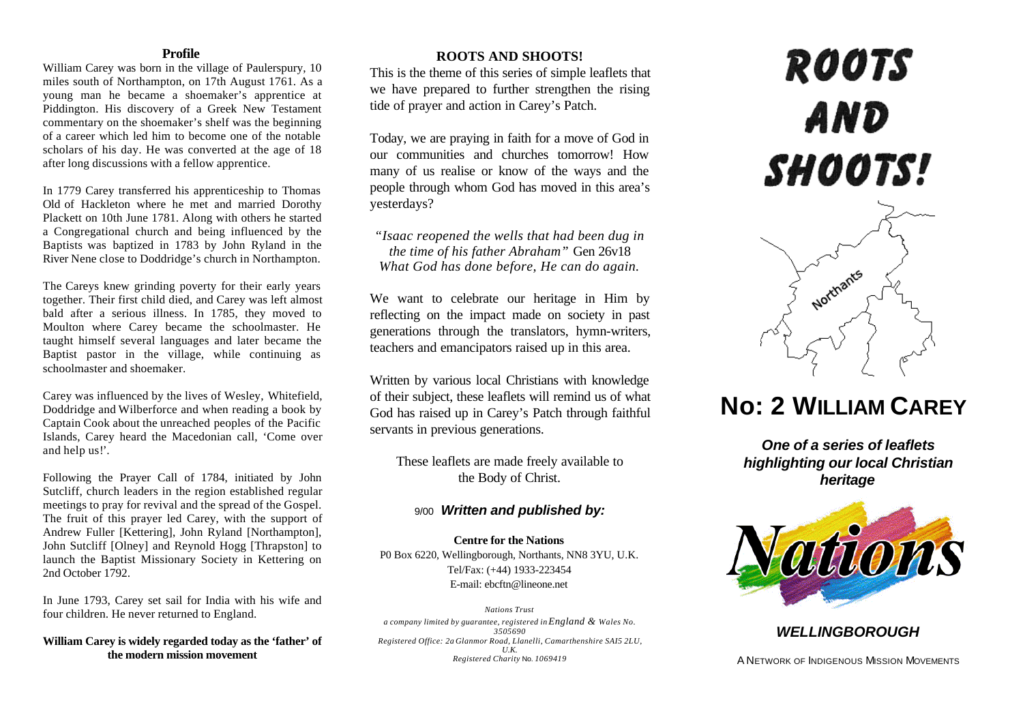### **Profile**

William Carey was born in the village of Paulerspury, 10 miles south of Northampton, on 17th August 1761. As a young man he became a shoemaker's apprentice at Piddington. His discovery of a Greek New Testament commentary on the shoemaker's shelf was the beginning of a career which led him to become one of the notable scholars of his day. He was converted at the age of 18 after long discussions with a fellow apprentice.

In 1779 Carey transferred his apprenticeship to Thomas Old of Hackleton where he met and married Dorothy Plackett on 10th June 1781. Along with others he started a Congregational church and being influenced by the Baptists was baptized in 1783 by John Ryland in the River Nene close to Doddridge's church in Northampton.

The Careys knew grinding poverty for their early years together. Their first child died, and Carey was left almost bald after a serious illness. In 1785, they moved to Moulton where Carey became the schoolmaster. He taught himself several languages and later became the Baptist pastor in the village, while continuing as schoolmaster and shoemaker.

Carey was influenced by the lives of Wesley, Whitefield, Doddridge and Wilberforce and when reading a book by Captain Cook about the unreached peoples of the Pacific Islands, Carey heard the Macedonian call, 'Come over and help us!'.

Following the Prayer Call of 1784, initiated by John Sutcliff, church leaders in the region established regular meetings to pray for revival and the spread of the Gospel. The fruit of this prayer led Carey, with the support of Andrew Fuller [Kettering], John Ryland [Northampton], John Sutcliff [Olney] and Reynold Hogg [Thrapston] to launch the Baptist Missionary Society in Kettering on 2nd October 1792.

In June 1793, Carey set sail for India with his wife and four children. He never returned to England.

**William Carey is widely regarded today as the 'father' of the modern mission movement**

## **ROOTS AND SHOOTS!**

This is the theme of this series of simple leaflets that we have prepared to further strengthen the rising tide of prayer and action in Carey's Patch.

Today, we are praying in faith for a move of God in our communities and churches tomorrow! How many of us realise or know of the ways and the people through whom God has moved in this area's yesterdays?

*"Isaac reopened the wells that had been dug in the time of his father Abraham"* Gen 26v18 *What God has done before, He can do again.*

We want to celebrate our heritage in Him by reflecting on the impact made on society in past generations through the translators, hymn-writers, teachers and emancipators raised up in this area.

Written by various local Christians with knowledge of their subject, these leaflets will remind us of what God has raised up in Carey's Patch through faithful servants in previous generations.

These leaflets are made freely available to the Body of Christ.

## 9/00 *Written and published by:*

**Centre for the Nations** P0 Box 6220, Wellingborough, Northants, NN8 3YU, U.K. Tel/Fax: (+44) 1933-223454 E-mail: ebcftn@lineone.net

*Nations Trust a company limited by guarantee, registered in England & Wales No. 3505690 Registered Office: 2a Glanmor Road, Llanelli, Camarthenshire SAI5 2LU, U.K. Registered Charity* No. *1069419*

# **ROOTS** AND SHOOTS!



# **No: 2 WILLIAM CAREY**

*One of a series of leaflets highlighting our local Christian heritage*



# *WELLINGBOROUGH*

A NETWORK OF INDIGENOUS MISSION MOVEMENTS